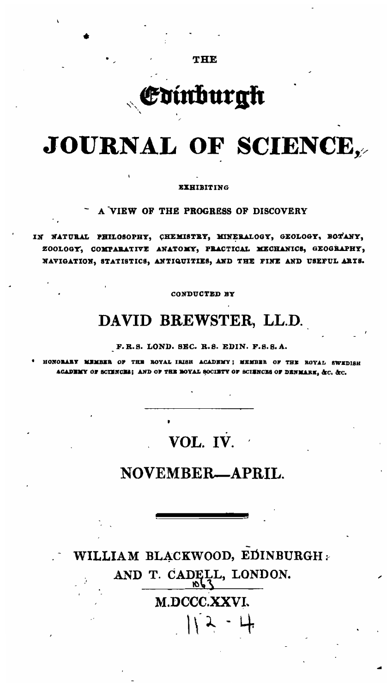THE

# Edinburgk

# JOURNAL OF SCIENCE,

#### **EXHIBITING**

A VIEW OF THE PROGRESS OF DISCOVERY

IN NATURAL PHILOSOPHY, CHEMISTRY, MINERALOGY, GEOLOGY, BOTANY, ZOOLOGY, COMPARATIVE ANATOMY, PRACTICAL MECHANICS, GEOGRAPHY, NAVIGATION, STATISTICS, ANTIQUITIES, AND THE FINE AND USEFUL ARTS.

CONDUCTED BY

## DAVID BREWSTER, LL.D.

F.R.S. LOND. SEC. R.S. EDIN. F.S.S.A.

HONORARY MEMBER OF THE ROYAL IRISH ACADEMY; MEMBER OF THE ROYAL SWEDISH ACADEMY OF SCIENCHS; AND OF THE BOYAL SOCIETY OF SCIENCHS OF DENMARK, &C. &C.

# VOL. IV.

### NOVEMBER-APRIL

WILLIAM BLACKWOOD, EDINBURGH : AND T. CADELL, LONDON. M.DCCC.XXVI.  $112 - 4$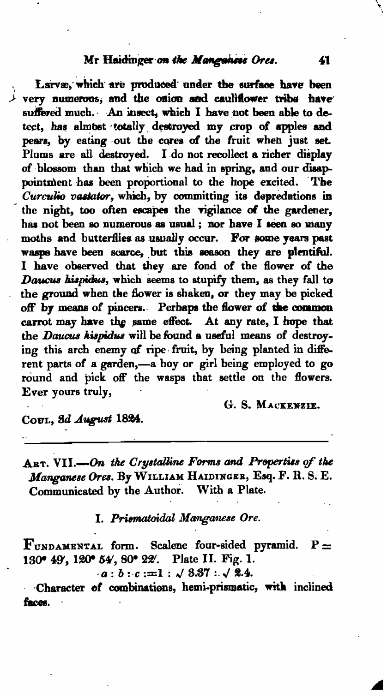#### Mr Haidinger on the Manguness Ores.

Larvæ, which are produced under the surface have been  $\lambda$  very numerous, and the onion and cauliflower tribe have suffered much. An insect, which I have not been able to detect, has almost totally destroyed my crop of apples and pears, by eating out the cores of the fruit when just set. Plums are all destroyed. I do not recollect a richer display of blossom than that which we had in spring, and our disappointment has been proportional to the hope excited. The Curculio vastator, which, by committing its depredations in the night, too often escapes the vigilance of the gardener, has not been so numerous as usual; nor have I seen so many moths and butterflies as usually occur. For some years past wasps have been scarce, but this season they are plentiful. I have observed that they are fond of the flower of the Daucus hispidus, which seems to stupify them, as they fall to the ground when the flower is shaken, or they may be picked off by means of pincers. Perhaps the flower of the common carrot may have the same effect. At any rate, I hope that the Daucus kispidus will be found a useful means of destroying this arch enemy of ripe fruit, by being planted in different parts of a garden,-a boy or girl being employed to go round and pick off the wasps that settle on the flowers. Ever yours truly,

G. S. MACKENZIE.

COUL, 3d August 1824.

ART. VII.-On the Crystalline Forms and Properties of the Manganese Ores. By WILLIAM HAIDINGER, Esq. F. R. S. E. Communicated by the Author. With a Plate.

I. Prismatoidal Manganese Ore.

 ${\bf F}_{\texttt{UNDAMENTAL}}$  form. Scalene four-sided pyramid.  ${\bf P}$  = 130° 49', 120° 54', 80° 22'. Plate II. Fig. 1.

 $a:b:c:=1:\sqrt{8.37}:\sqrt{2.4}.$ 

Character of combinations, hemi-prismatic, with inclined faces.

41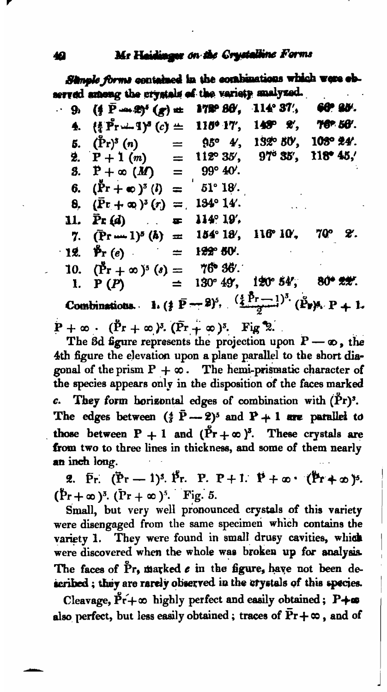Simple forms contained in the combinations which were ebserved among the crystals of the variety snalyzed.

 $($ ∮ P --- 2)<sup>5</sup>  $(x)$  ± 114° 37. 172° 86′. 60° AV. . 9.  ${4 \over 4}$  Pr  $\cdots$  1)<sup>3</sup> (c)  $\pm$ 115° 17'.  $145^{\circ}$  2. 76° 50′. 4. 132° 50'.  $(\Pr)^5(n)$  $95^{\circ}$   $4^{\prime}$ . 108° %4′. Б.  $=$  $97^{\circ}$  35',  $P+1(m)$ 112° 35'. 118°45. 2.  $=$  $P + \infty$  (*M*) 99° 40'. З.  $=$  $(\tilde{P}r + \infty)^5$  (*l*) 51° 18′. 6.  $=$ 134° 14′.  $(\bar{P}r + \infty)^3(r) =$ 8.  $\bar{P}$ r (d) 114°19′ 11.  $\blacksquare$ 7Q° ะ.  $(\overline{P}r-1)^5$   $(h) =$ 154° 18′. 116° 10′. 7.  $\mathbf{\mathring{P}}$ r (e) 122° 50'.  $\cdot$  12. ≝  $(\Pr^{\bullet} + \infty)^5$  (s) = 76 36. 10. 130° 49', 120° 54', 80\* 22.  $P(P)$ 1. Combinations. 1.  $(\frac{1}{2} \bar{P} - 2)^5$ ,  $(\frac{3}{4} \bar{P} - 1)^3$ .  $(\bar{P}_2)^3$ ,  $P + 1$ .  $P + \infty$ .  $(\tilde{P}r + \infty)^3$ .  $(\tilde{P}r + \infty)^5$ . Fig 2.

The 8d figure represents the projection upon  $P \rightarrow \infty$ , the 4th figure the elevation upon a plane parallel to the short diagonal of the prism  $P + \infty$ . The hemi-prismatic character of the species appears only in the disposition of the faces marked They form horizontal edges of combination with (Pr)'. c. The edges between  $(\frac{4}{3}\bar{P}-2)^5$  and  $P+1$  are parallel to those between P + 1 and  $(\tilde{Pr} + \infty)^5$ . These crystals are from two to three lines in thickness, and some of them nearly an inch long.

2.  $\bar{P}_r$ .  $(\bar{P}_r - 1)^3$ .  $\bar{P}_r$ . P. P + 1.  $P + \infty$ .  $(\bar{P}_r + \infty)^3$ .  $(Pr + \infty)^3$ .  $(Pr + \infty)^5$ . Fig. 5.

Small, but very well pronounced crystals of this variety were disengaged from the same specimen which contains the They were found in small drusy cavities, which variety 1. were discovered when the whole was broken up for analysis. The faces of Pr, marked e in the figure, have not been described; they are rarely observed in the crystals of this species.

Cleavage,  $\tilde{P}\tilde{r} + \infty$  highly perfect and easily obtained;  $P + \infty$ also perfect, but less easily obtained; traces of  $Pr + \infty$ , and of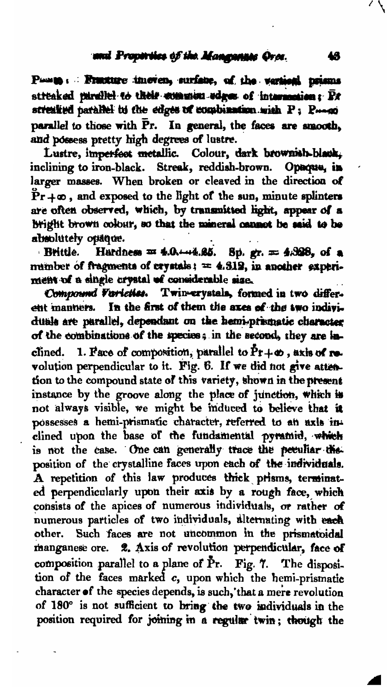Posts : Fracture imeven, surface, of the various prisms streaked parallel to their common edges of intersection; Br streaked parallel to the edges of combination with P: P-oo parallel to those with Pr. In general, the faces are smooth, and possess pretty high degrees of lustre.

Lustre, imperfect metallic. Colour, dark brownish-black, inclining to iron-black. Streak, reddish-brown. Opecus, in larger masses. When broken or cleaved in the direction of  $Pr + \infty$ , and exposed to the light of the sun, minute splinters are often observed, which, by transmitted hight, appear of a bright brown colour, so that the mineral cannot be said to be absolutely opaque.

Brittle. Hardness = 4.0.44.85. Sp. gr. = 4.328, of a mumber of fragments of crystals;  $= 4.319$ , in another experiment of a single crystal of considerable size.

Compound Varieties. Twin-erystals, formed in two different manners. In the first of them the axes of the two individuals are parallel, dependant on the hemi-prismatic character of the combinations of the species; in the second, they are inclined. 1. Face of composition, parallel to  $\tilde{P}r + \infty$ , axis of revolution perpendicular to it. Fig. 6. If we did not give attention to the compound state of this variety, shown in the present instance by the groove along the place of junction, which is not always visible, we might be induced to believe that it possesses a hemi-prismatic character, referred to an axis inclined upon the base of the fundamental pyramid, which is not the case. One can generally trace the peeuliar the. position of the crystalline faces upon each of the individuals. A repetition of this law produces thick prisms, terminated perpendicularly upon their axis by a rough face, which consists of the apices of numerous individuals, or rather of numerous particles of two individuals, alternating with each other. Such faces are not uncommon in the prismatoidal manganese ore. 2. Axis of revolution perpendicular, face of composition parallel to a plane of Pr. Fig. 7. The disposition of the faces marked c, upon which the hemi-prismatic character of the species depends, is such, that a mere revolution of 180° is not sufficient to bring the two individuals in the position required for joining in a regular twin; though the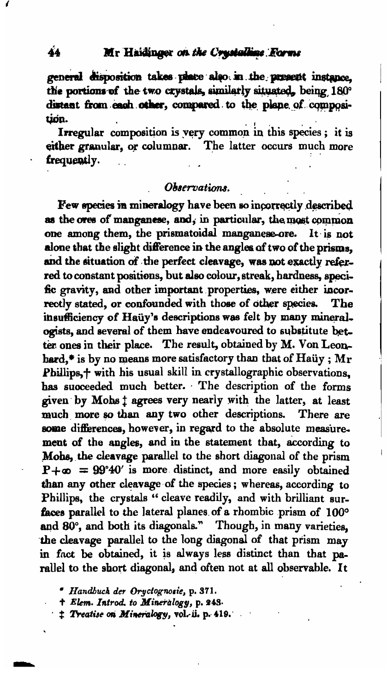general disposition takes place also in the present instance. the portions of the two crystals, similarly situated, being 180° distant from each other, compared to the plane of composition.

Irregular composition is very common in this species; it is either granular, or columnar. The latter occurs much more frequently.

#### Ohservations.

Few species in mineralogy have been so incorrectly described as the ores of manganese, and, in particular, the most common one among them, the prismatoidal manganese-ore. It is not alone that the slight difference in the angles of two of the prisms. and the situation of the perfect cleavage, was not exactly referred to constant positions, but also colour, streak, hardness, specific gravity, and other important properties, were either incorrectly stated, or confounded with those of other species. The insufficiency of Haüy's descriptions was felt by many mineralogists, and several of them have endeavoured to substitute better ones in their place. The result, obtained by M. Von Leonhard.\* is by no means more satisfactory than that of Haüy :  $Mr$ Phillips,<sup>+</sup> with his usual skill in crystallographic observations. has succeeded much better. The description of the forms given by Mobs ! agrees very nearly with the latter, at least much more so than any two other descriptions. There are some differences, however, in regard to the absolute measurement of the angles, and in the statement that, according to Mohs, the cleavage parallel to the short diagonal of the prism  $P + \infty$  = 99°40' is more distinct, and more easily obtained than any other cleavage of the species; whereas, according to Phillips, the crystals "cleave readily, and with brilliant surfaces parallel to the lateral planes of a rhombic prism of 100° and 80°, and both its diagonals." Though, in many varieties, the cleavage parallel to the long diagonal of that prism may in fact be obtained, it is always less distinct than that parallel to the short diagonal, and often not at all observable. It

" Handbuck der Oryclognosie, p. 371.

+ Elem. Introd. to Mineralogy, p. 248.

# Treatise on Mineralogy, vol. ii. p. 419.

Á4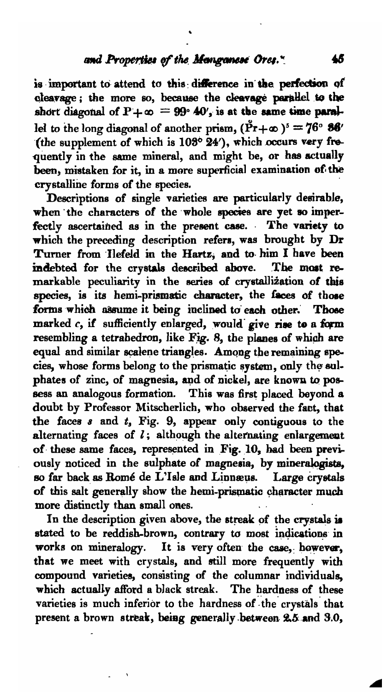#### and Properties of the Manganese Ores."

is important to attend to this difference in the perfection of cleavage; the more so, because the cleavage parallel to the short diagonal of  $P + \infty = 99$  40', is at the same time parallet to the long diagonal of another prism,  $(\tilde{Pr} + \infty)^5 = 76^{\circ} 86'$ (the supplement of which is 103° 24'), which occurs very frequently in the same mineral, and might be, or has actually been, mistaken for it, in a more superficial examination of the crystalline forms of the species.

Descriptions of single varieties are particularly desirable, when the characters of the whole species are yet so imperfectly ascertained as in the present case. The variety to which the preceding description refers, was brought by Dr Turner from Ilefeld in the Hartz, and to him I have been indebted for the crystals described above. The most remarkable peculiarity in the series of crystallization of this species, is its hemi-prismatic character, the faces of those forms which assume it being inclined to each other. Those marked c, if sufficiently enlarged, would give rise to a form resembling a tetrahedron, like Fig. 8, the planes of which are equal and similar scalene triangles. Among the remaining species, whose forms belong to the prismatic system, only the sulphates of zinc, of magnesia, and of nickel, are known to possess an analogous formation. This was first placed beyond a doubt by Professor Mitscherlich, who observed the fact, that the faces  $s$  and  $t$ , Fig. 9, appear only contiguous to the alternating faces of  $l$ ; although the alternating enlargement of these same faces, represented in Fig. 10, had been previously noticed in the sulphate of magnesia, by mineralogists, so far back as Romé de L'Isle and Linnæus. Large crystals of this salt generally show the hemi-prismatic character much more distinctly than small ones.

In the description given above, the streak of the crystals is stated to be reddish-brown, contrary to most indications in works on mineralogy. It is very often the case, however, that we meet with crystals, and still more frequently with compound varieties, consisting of the columnar individuals, which actually afford a black streak. The hardness of these varieties is much inferior to the hardness of the crystals that present a brown streak, being generally between 2.5 and 3.0,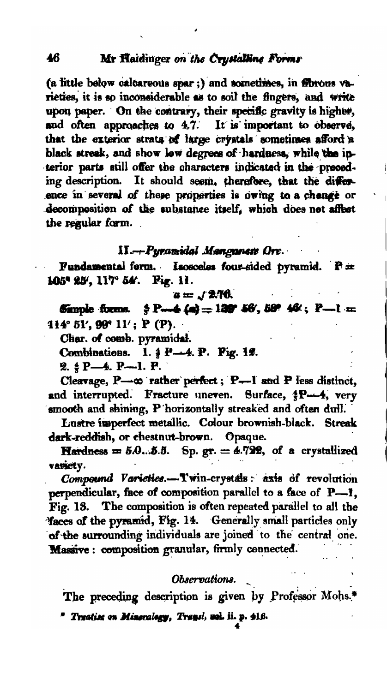(a little below calcareous spar;) and sometimes, in florous varieties, it is so inconsiderable as to soil the fingers, and write upon paper. On the contrary, their specific gravity is higher, and often approaches to 4.7. It is important to observe, that the exterior strata of large crystals sometimes afford a black streak, and show low degrees of hardness, while the interior parts still offer the characters indicated in the preceding description. It should seem, therefore, that the difference in several of these properties is owing to a change or decomposition of the substance itself, which does not affect the regular form.

#### II.— Pyramidal Manganess Ore.

Fundamental form. Isosceles four-sided pyramid. P= 105° 25', 117° 54'. Fig. 11.

#### $a = 12.76$

Sample forms.  $\frac{4}{9}$  P--4 (a) = 139° 56', 59° 46'; P-1 = 114° 51′, 99° 11′; P (P).

Char. of comb. pyramidal.

Combinations. 1. 4 P-4. P. Fig. 12.

2. § P-4. P-1. P.

Cleavage, P-0 rather perfect; P-1 and P less distinct, and interrupted. Fracture uneven. Surface, \$P-4, very smooth and shining, P horizontally streaked and often dull.

Lustre imperfect metallic. Colour brownish-black. Streak dark-reddish, or chestnut-brown. Opaque.

Hardness =  $5.0...5.5$ . Sp. gr. = 4.722, of a crystallized variety.

Compound Varieties.-Twin-crystals: axis of revolution perpendicular, face of composition parallel to a face of P-1. Fig. 18. The composition is often repeated parallel to all the Yaces of the pyramid, Fig. 14. Generally small particles only of the surrounding individuals are joined to the central one. Massive: composition granular, firmly connected.

#### Observations.

The preceding description is given by Professor Mohs.<sup>\*</sup>

\* Treatise on Mineralogy, Transl, web ii. p. 416.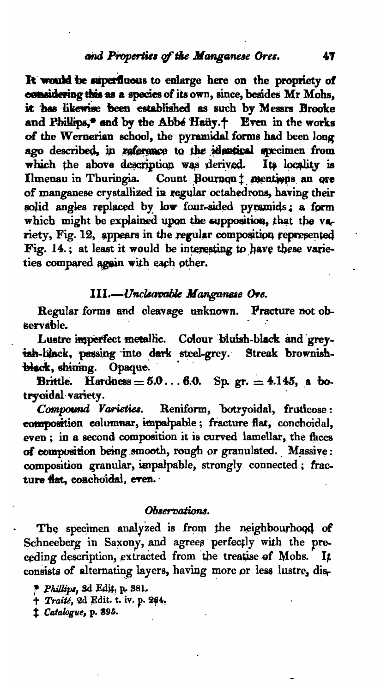#### and Properties of the Manganese Ores.

It would be superfluous to enlarge here on the propriety of considering this as a species of its own, since, besides Mr Mohs, it has likewise been established as such by Messrs Brooke and Philips,\* and by the Abbe Haüy.+ Even in the works of the Wernerian school, the pyramidal forms had been long ago described, in reference to the identical specimen from which the above description was derived. Its locality is Ilmenau in Thuringia. Count Bournon # mentions an ore of manganese crystallized in regular octahedrons, having their solid angles replaced by low four-sided pyramids; a form which might be explained upon the supposition, that the variety, Fig. 12, appears in the regular composition represented Fig. 14.; at least it would be interesting to have these varieties compared again with each other.

#### III.---Unclearable Manganese Ore.

Regular forms and cleavage unknown. **Practure not ob**servable.

Lustre imperfect metallic. Colour bluish-black and greyish-black, passing into dark steel-grey. Streak brownishblack, shining. Opaque.

Brittle. Hardness =  $5.0...6.0$ . Sp. gr. = 4.145, a botrvoidal variety.

Compound Varieties. Reniform, botryoidal, fruticose: composition columnar, impalpable; fracture flat, conchoidal, even; in a second composition it is curved lamellar, the faces of composition being smooth, rough or granulated. Massive: composition granular, impalpable, strongly connected; fracture flat, conchoidal, even.

#### Observations.

The specimen analyzed is from the neighbourhood of Schneeberg in Saxony, and agrees perfectly with the preceding description, extracted from the treatise of Mohs. It consists of alternating layers, having more or less lustre, dis-

<sup>t</sup> Catalogue, p. 395.

Phillips, 3d Edit, p. 381.

<sup>+</sup> Traité, 2d Edit. t. iv. p. 264.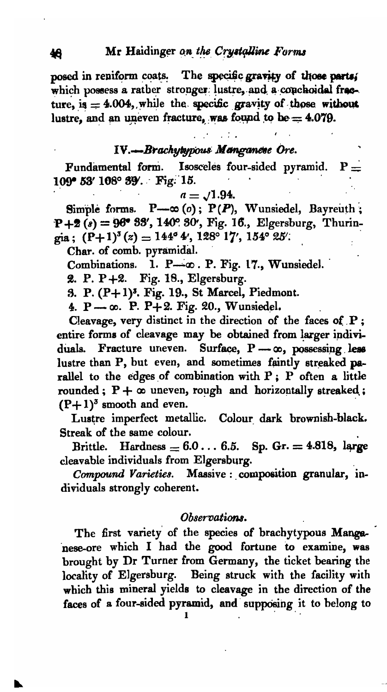posed in reniform coats. The specific gravity of those parts, which possess a rather stronger lustre, and a conchoidal freeture, is  $= 4.004$ , while the specific gravity of those without lustre, and an uneven fracture, was found to be =  $4.079$ .

#### IV.-Brachytypous Manganese Ore.

Fundamental form. **Isosceles four-sided pyramid.**  $P =$ 109° 53' 108° 39'. Fig. 15.

$$
a=\sqrt{1.94}.
$$

Simple forms.  $P \rightarrow \infty$  (o);  $P(P)$ , Wunsiedel, Bayreuth;  $P+2(s) = 96° 33', 140° 30', Fig. 16., Elgersburg, Thurin$ gia;  $(P+1)^{3}(z) = 144^{\circ}4'$ , 128° 17′, 154° 25′.

Char. of comb. pyramidal.

Combinations. 1. P-0. P. Fig. 17., Wunsiedel.

2. P. P +2. Fig. 18., Elgersburg.

3. P. (P+1)<sup>3</sup>. Fig. 19., St Marcel, Piedmont.

4. P .  $\infty$ . P. P + 2. Fig. 20., Wunsiedel.

Cleavage, very distinct in the direction of the faces of P; entire forms of cleavage may be obtained from larger individuals. Fracture uneven. Surface, P- co, possessing less lustre than P, but even, and sometimes faintly streaked parallel to the edges of combination with P; P often a little rounded;  $P + \infty$  uneven, rough and horizontally streaked;  $(P+1)^3$  smooth and even.

Lustre imperfect metallic. Colour dark brownish-black. Streak of the same colour.

Brittle. Hardness =  $6.0 \ldots 6.5$ . Sp. Gr. = 4.818, large cleavable individuals from Elgersburg.

Compound Varieties. Massive : composition granular, individuals strongly coherent.

#### Observations.

The first variety of the species of brachytypous Manganese-ore which I had the good fortune to examine, was brought by Dr Turner from Germany, the ticket bearing the locality of Elgersburg. Being struck with the facility with which this mineral yields to cleavage in the direction of the faces of a four-sided pyramid, and supposing it to belong to

46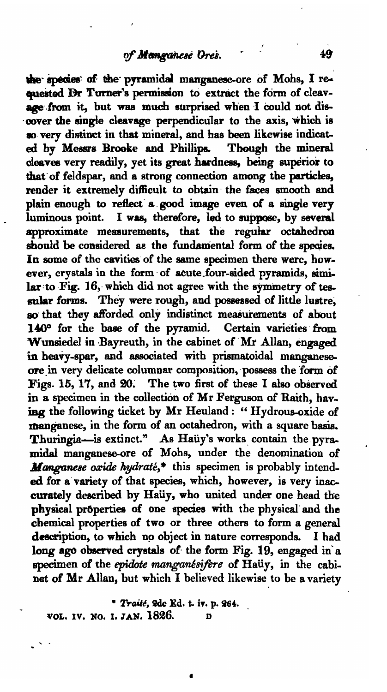the species of the pyramidal manganese-ore of Mohs, I requested Br Turner's permission to extract the form of cleavage from it, but was much surprised when I could not discover the single cleavage perpendicular to the axis, which is 10 very distinct in that mineral, and has been likewise indicated by Messrs Brooke and Phillipa. Though the mineral oleaves very readily, yet its great hardness, being superior to that'of feldspar, and a strong connection among the particles, render it extremely difficult to obtain' the faces smooth and plain enough to reflect' a, good image even of a single very luminous point. I was, therefore, led to suppose, by several approximate measurements, that the regular octahedron should be considered as the fundamental form of the species. In some of the cavities of the same specimen there were, however, crystals in the form' of acute.four-sided pyramids, simi. lar to Fig. 16, which did not agree with the symmetry of tessular forms. They were rough, and possessed of little lustre, so that they afforded only indistinct measurements of about 140° for the base of the pyramid. Certain varieties from Wunsiedel in Bayreuth, in the cabinet of Mr Allan, engaged in heavy-spar, and associated with prismatoidal manganeseore in very delicate columnar composition, possess the form of Figs. 15, 17, and 20; The two first of these I also observed in a specimen in the collection of Mr Ferguson of Raith, hav. ing the following ticket by Mr Heuland: "Hydrous-oxide of manganese, in the form of an octahedron, with a square basis. Thuringia-is extinct." As Hauy's works contain the pyramidal manganese-ore of Mohs, under the denomination of *Manganese oxide hydraté*,\* this specimen is probably intended for a variety of that species, which, however, is very inaccurately described by Haüy, who united under one head the physical properties of one species with the physical and the chemical properties of two or three others to form a general description, to which no object in nature corresponds. I had long ago observed crystals of the form Fig. 19, engaged in a specimen of the epidote manganesifere of Haüy, in the cabinet of Mr Allan, but which I believed likewise to be a variety

\* Trailé, 2de Ed. t. iv. p. 264. VOL. IV. NO. I. JAN. 1826.